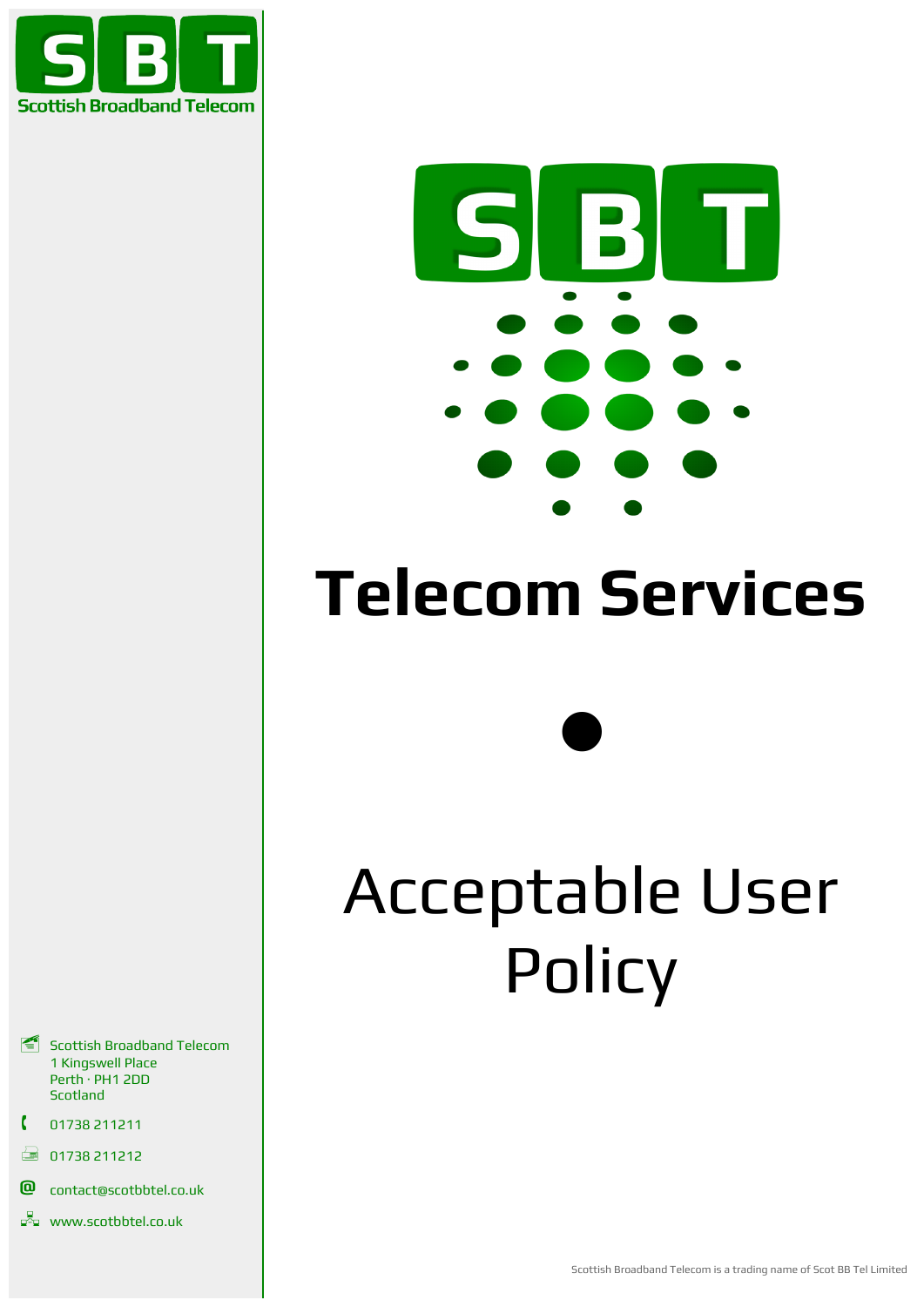



# **Telecom Services**

 $\bullet$ 

# Acceptable User **Policy**

- Scottish Broadband Telecom 1 Kingswell Place Perth · PH1 2DD Scotland
- 01738 211211
- $\Box$  01738 211212
- **@** contact@scotbbtel.co.uk
- **www.scotbbtel.co.uk**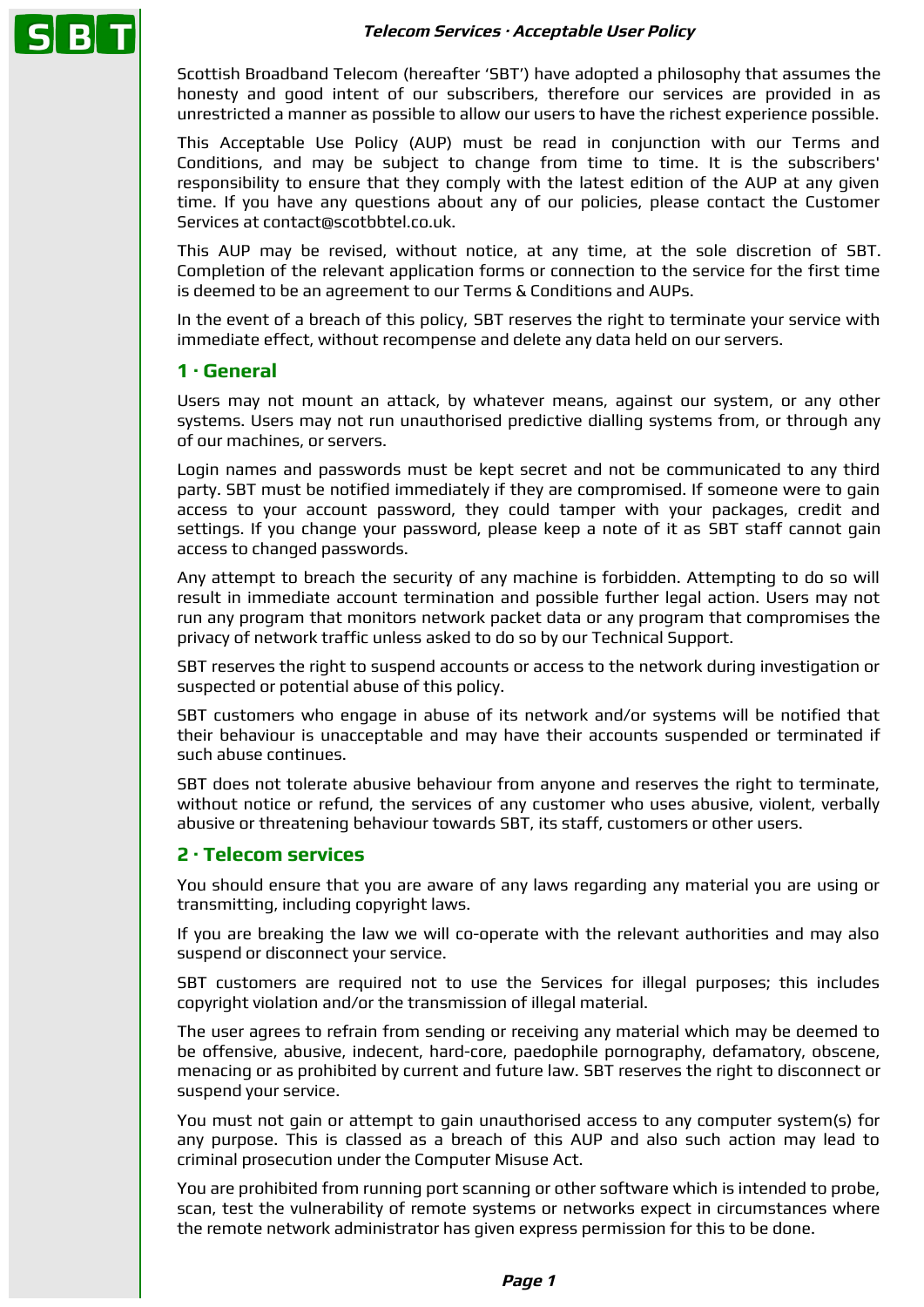

Scottish Broadband Telecom (hereafter 'SBT') have adopted a philosophy that assumes the honesty and good intent of our subscribers, therefore our services are provided in as unrestricted a manner as possible to allow our users to have the richest experience possible.

This Acceptable Use Policy (AUP) must be read in conjunction with our Terms and Conditions, and may be subject to change from time to time. It is the subscribers' responsibility to ensure that they comply with the latest edition of the AUP at any given time. If you have any questions about any of our policies, please contact the Customer Services at contact@scotbbtel.co.uk.

This AUP may be revised, without notice, at any time, at the sole discretion of SBT. Completion of the relevant application forms or connection to the service for the first time is deemed to be an agreement to our Terms & Conditions and AUPs.

In the event of a breach of this policy, SBT reserves the right to terminate your service with immediate effect, without recompense and delete any data held on our servers.

## **1 · General**

Users may not mount an attack, by whatever means, against our system, or any other systems. Users may not run unauthorised predictive dialling systems from, or through any of our machines, or servers.

Login names and passwords must be kept secret and not be communicated to any third party. SBT must be notified immediately if they are compromised. If someone were to gain access to your account password, they could tamper with your packages, credit and settings. If you change your password, please keep a note of it as SBT staff cannot gain access to changed passwords.

Any attempt to breach the security of any machine is forbidden. Attempting to do so will result in immediate account termination and possible further legal action. Users may not run any program that monitors network packet data or any program that compromises the privacy of network traffic unless asked to do so by our Technical Support.

SBT reserves the right to suspend accounts or access to the network during investigation or suspected or potential abuse of this policy.

SBT customers who engage in abuse of its network and/or systems will be notified that their behaviour is unacceptable and may have their accounts suspended or terminated if such abuse continues.

SBT does not tolerate abusive behaviour from anyone and reserves the right to terminate, without notice or refund, the services of any customer who uses abusive, violent, verbally abusive or threatening behaviour towards SBT, its staff, customers or other users.

# **2 · Telecom services**

You should ensure that you are aware of any laws regarding any material you are using or transmitting, including copyright laws.

If you are breaking the law we will co-operate with the relevant authorities and may also suspend or disconnect your service.

SBT customers are required not to use the Services for illegal purposes; this includes copyright violation and/or the transmission of illegal material.

The user agrees to refrain from sending or receiving any material which may be deemed to be offensive, abusive, indecent, hard-core, paedophile pornography, defamatory, obscene, menacing or as prohibited by current and future law. SBT reserves the right to disconnect or suspend your service.

You must not gain or attempt to gain unauthorised access to any computer system(s) for any purpose. This is classed as a breach of this AUP and also such action may lead to criminal prosecution under the Computer Misuse Act.

You are prohibited from running port scanning or other software which is intended to probe, scan, test the vulnerability of remote systems or networks expect in circumstances where the remote network administrator has given express permission for this to be done.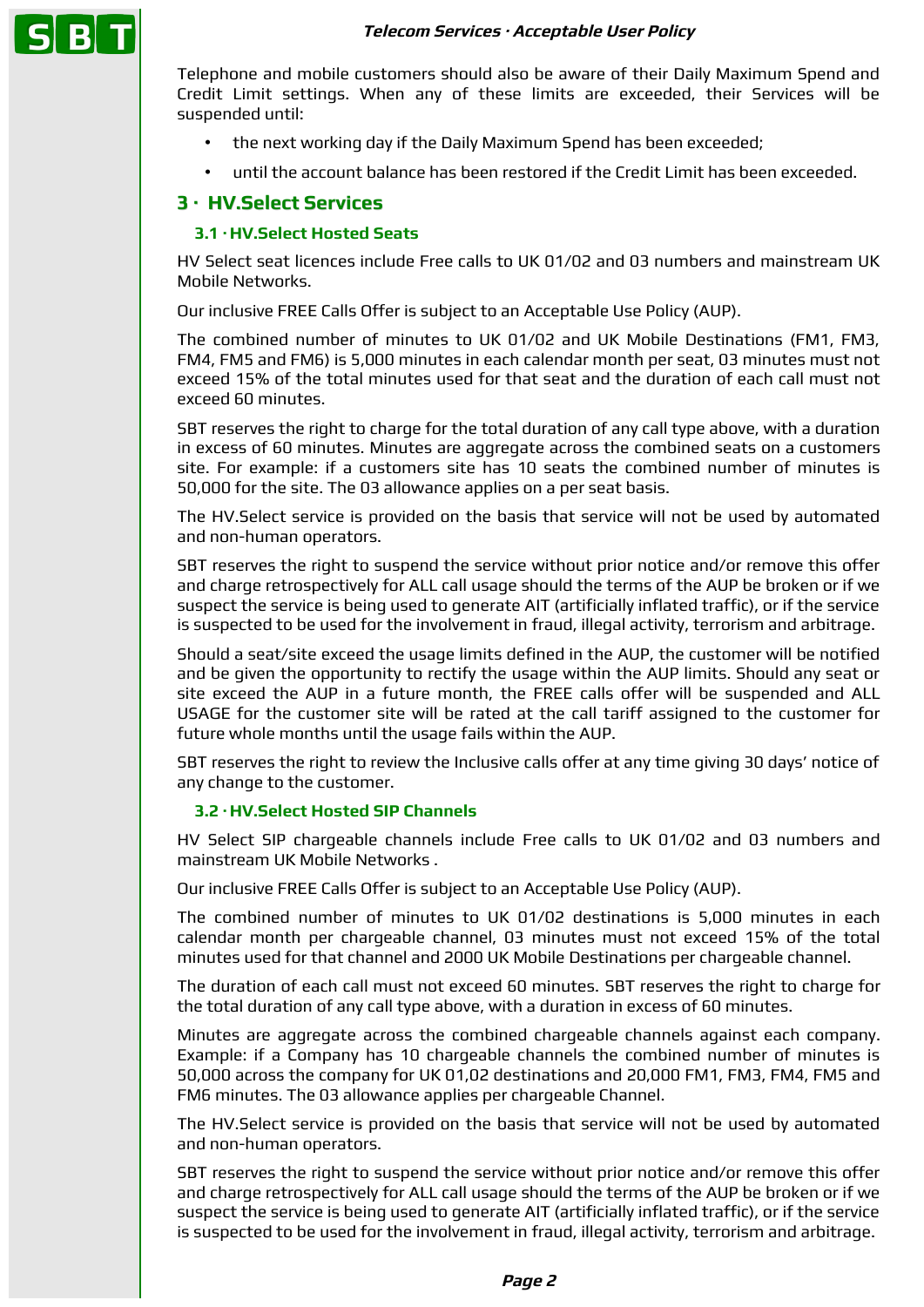#### **Telecom Services · Acceptable User Policy**



Telephone and mobile customers should also be aware of their Daily Maximum Spend and Credit Limit settings. When any of these limits are exceeded, their Services will be suspended until:

- the next working day if the Daily Maximum Spend has been exceeded;
- until the account balance has been restored if the Credit Limit has been exceeded.

# **3 · HV.Select Services**

### **3.1 · HV.Select Hosted Seats**

HV Select seat licences include Free calls to UK 01/02 and 03 numbers and mainstream UK Mobile Networks.

Our inclusive FREE Calls Offer is subject to an Acceptable Use Policy (AUP).

The combined number of minutes to UK 01/02 and UK Mobile Destinations (FM1, FM3, FM4, FM5 and FM6) is 5,000 minutes in each calendar month per seat, 03 minutes must not exceed 15% of the total minutes used for that seat and the duration of each call must not exceed 60 minutes.

SBT reserves the right to charge for the total duration of any call type above, with a duration in excess of 60 minutes. Minutes are aggregate across the combined seats on a customers site. For example: if a customers site has 10 seats the combined number of minutes is 50,000 for the site. The 03 allowance applies on a per seat basis.

The HV.Select service is provided on the basis that service will not be used by automated and non-human operators.

SBT reserves the right to suspend the service without prior notice and/or remove this offer and charge retrospectively for ALL call usage should the terms of the AUP be broken or if we suspect the service is being used to generate AIT (artificially inflated traffic), or if the service is suspected to be used for the involvement in fraud, illegal activity, terrorism and arbitrage.

Should a seat/site exceed the usage limits defined in the AUP, the customer will be notified and be given the opportunity to rectify the usage within the AUP limits. Should any seat or site exceed the AUP in a future month, the FREE calls offer will be suspended and ALL USAGE for the customer site will be rated at the call tariff assigned to the customer for future whole months until the usage fails within the AUP.

SBT reserves the right to review the Inclusive calls offer at any time giving 30 days' notice of any change to the customer.

#### **3.2 · HV.Select Hosted SIP Channels**

HV Select SIP chargeable channels include Free calls to UK 01/02 and 03 numbers and mainstream UK Mobile Networks .

Our inclusive FREE Calls Offer is subject to an Acceptable Use Policy (AUP).

The combined number of minutes to UK 01/02 destinations is 5,000 minutes in each calendar month per chargeable channel, 03 minutes must not exceed 15% of the total minutes used for that channel and 2000 UK Mobile Destinations per chargeable channel.

The duration of each call must not exceed 60 minutes. SBT reserves the right to charge for the total duration of any call type above, with a duration in excess of 60 minutes.

Minutes are aggregate across the combined chargeable channels against each company. Example: if a Company has 10 chargeable channels the combined number of minutes is 50,000 across the company for UK 01,02 destinations and 20,000 FM1, FM3, FM4, FM5 and FM6 minutes. The 03 allowance applies per chargeable Channel.

The HV.Select service is provided on the basis that service will not be used by automated and non-human operators.

SBT reserves the right to suspend the service without prior notice and/or remove this offer and charge retrospectively for ALL call usage should the terms of the AUP be broken or if we suspect the service is being used to generate AIT (artificially inflated traffic), or if the service is suspected to be used for the involvement in fraud, illegal activity, terrorism and arbitrage.